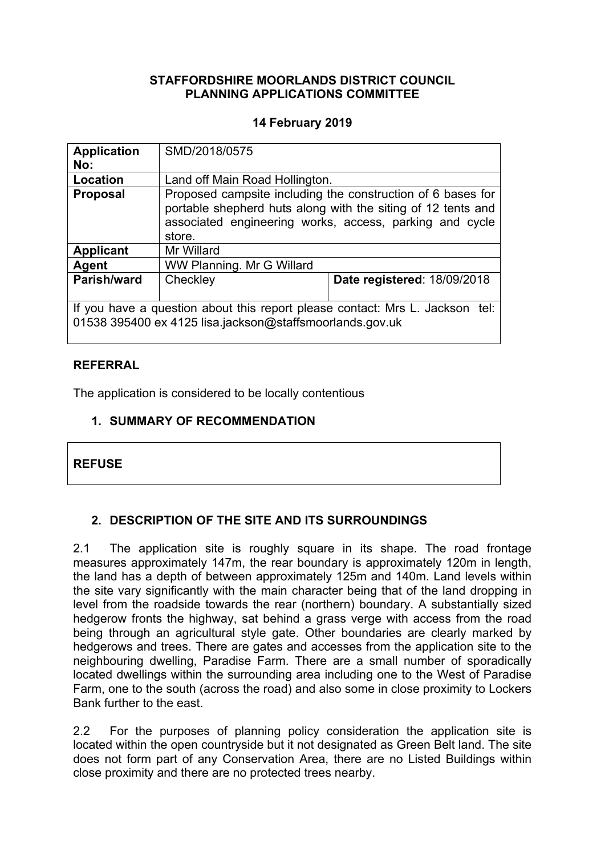# **STAFFORDSHIRE MOORLANDS DISTRICT COUNCIL PLANNING APPLICATIONS COMMITTEE**

# **14 February 2019**

| <b>Application</b><br>No: | SMD/2018/0575                                                                                                                                                                                    |                                                                              |  |
|---------------------------|--------------------------------------------------------------------------------------------------------------------------------------------------------------------------------------------------|------------------------------------------------------------------------------|--|
| Location                  | Land off Main Road Hollington.                                                                                                                                                                   |                                                                              |  |
| <b>Proposal</b>           | Proposed campsite including the construction of 6 bases for<br>portable shepherd huts along with the siting of 12 tents and<br>associated engineering works, access, parking and cycle<br>store. |                                                                              |  |
| <b>Applicant</b>          | Mr Willard                                                                                                                                                                                       |                                                                              |  |
| Agent                     | WW Planning. Mr G Willard                                                                                                                                                                        |                                                                              |  |
| Parish/ward               | Checkley                                                                                                                                                                                         | Date registered: 18/09/2018                                                  |  |
|                           | 01538 395400 ex 4125 lisa.jackson@staffsmoorlands.gov.uk                                                                                                                                         | If you have a question about this report please contact: Mrs L. Jackson tel: |  |

# **REFERRAL**

The application is considered to be locally contentious

# **1. SUMMARY OF RECOMMENDATION**

| २।<br>−<br>L | 51 I C | c |
|--------------|--------|---|
|              |        |   |

# **2. DESCRIPTION OF THE SITE AND ITS SURROUNDINGS**

2.1 The application site is roughly square in its shape. The road frontage measures approximately 147m, the rear boundary is approximately 120m in length, the land has a depth of between approximately 125m and 140m. Land levels within the site vary significantly with the main character being that of the land dropping in level from the roadside towards the rear (northern) boundary. A substantially sized hedgerow fronts the highway, sat behind a grass verge with access from the road being through an agricultural style gate. Other boundaries are clearly marked by hedgerows and trees. There are gates and accesses from the application site to the neighbouring dwelling, Paradise Farm. There are a small number of sporadically located dwellings within the surrounding area including one to the West of Paradise Farm, one to the south (across the road) and also some in close proximity to Lockers Bank further to the east.

2.2 For the purposes of planning policy consideration the application site is located within the open countryside but it not designated as Green Belt land. The site does not form part of any Conservation Area, there are no Listed Buildings within close proximity and there are no protected trees nearby.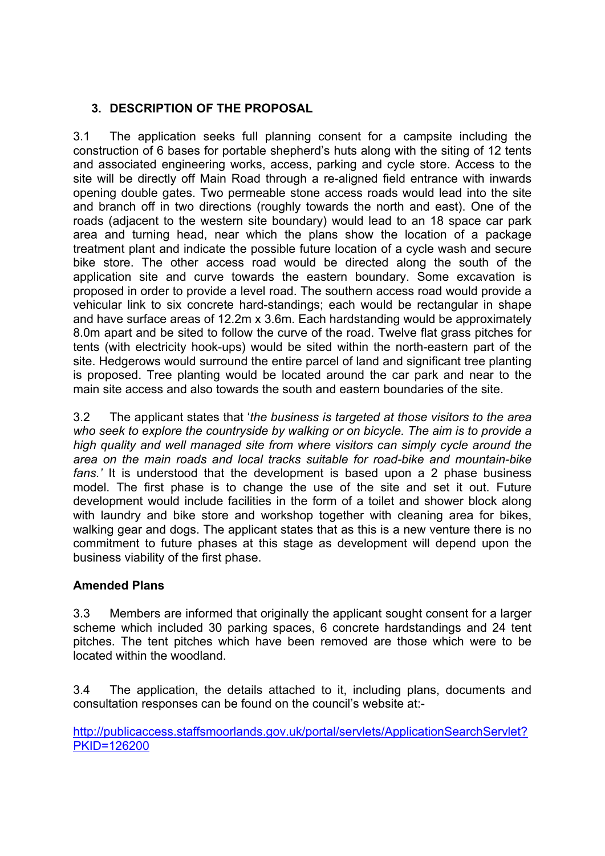# **3. DESCRIPTION OF THE PROPOSAL**

3.1 The application seeks full planning consent for a campsite including the construction of 6 bases for portable shepherd's huts along with the siting of 12 tents and associated engineering works, access, parking and cycle store. Access to the site will be directly off Main Road through a re-aligned field entrance with inwards opening double gates. Two permeable stone access roads would lead into the site and branch off in two directions (roughly towards the north and east). One of the roads (adjacent to the western site boundary) would lead to an 18 space car park area and turning head, near which the plans show the location of a package treatment plant and indicate the possible future location of a cycle wash and secure bike store. The other access road would be directed along the south of the application site and curve towards the eastern boundary. Some excavation is proposed in order to provide a level road. The southern access road would provide a vehicular link to six concrete hard-standings; each would be rectangular in shape and have surface areas of 12.2m x 3.6m. Each hardstanding would be approximately 8.0m apart and be sited to follow the curve of the road. Twelve flat grass pitches for tents (with electricity hook-ups) would be sited within the north-eastern part of the site. Hedgerows would surround the entire parcel of land and significant tree planting is proposed. Tree planting would be located around the car park and near to the main site access and also towards the south and eastern boundaries of the site.

3.2 The applicant states that '*the business is targeted at those visitors to the area who seek to explore the countryside by walking or on bicycle. The aim is to provide a high quality and well managed site from where visitors can simply cycle around the area on the main roads and local tracks suitable for road-bike and mountain-bike fans.'* It is understood that the development is based upon a 2 phase business model. The first phase is to change the use of the site and set it out. Future development would include facilities in the form of a toilet and shower block along with laundry and bike store and workshop together with cleaning area for bikes, walking gear and dogs. The applicant states that as this is a new venture there is no commitment to future phases at this stage as development will depend upon the business viability of the first phase.

# **Amended Plans**

3.3 Members are informed that originally the applicant sought consent for a larger scheme which included 30 parking spaces, 6 concrete hardstandings and 24 tent pitches. The tent pitches which have been removed are those which were to be located within the woodland.

3.4 The application, the details attached to it, including plans, documents and consultation responses can be found on the council's website at:-

[http://publicaccess.staffsmoorlands.gov.uk/portal/servlets/ApplicationSearchServlet?](http://publicaccess.staffsmoorlands.gov.uk/portal/servlets/ApplicationSearchServlet?PKID=126200) [PKID=126200](http://publicaccess.staffsmoorlands.gov.uk/portal/servlets/ApplicationSearchServlet?PKID=126200)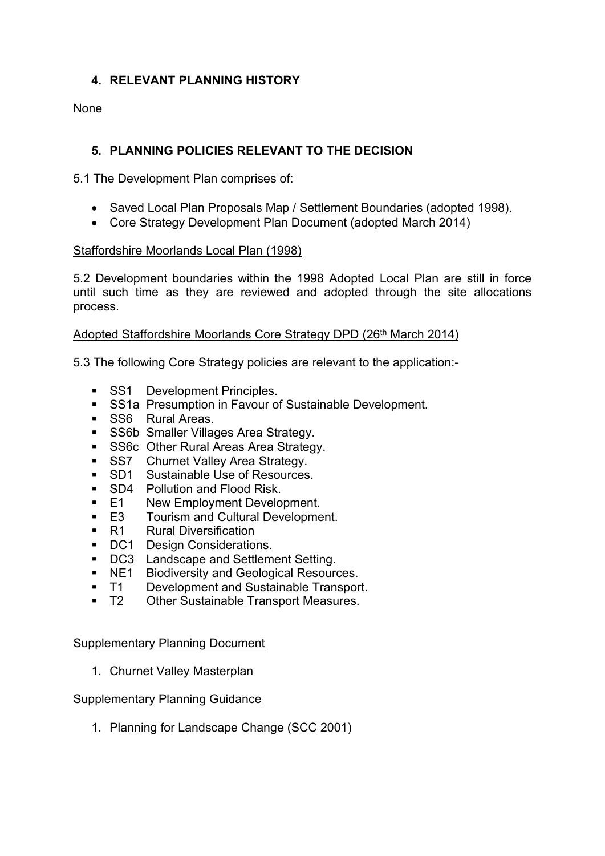# **4. RELEVANT PLANNING HISTORY**

None

# **5. PLANNING POLICIES RELEVANT TO THE DECISION**

5.1 The Development Plan comprises of:

- Saved Local Plan Proposals Map / Settlement Boundaries (adopted 1998).
- Core Strategy Development Plan Document (adopted March 2014)

## Staffordshire Moorlands Local Plan (1998)

5.2 Development boundaries within the 1998 Adopted Local Plan are still in force until such time as they are reviewed and adopted through the site allocations process.

# Adopted Staffordshire Moorlands Core Strategy DPD (26<sup>th</sup> March 2014)

5.3 The following Core Strategy policies are relevant to the application:-

- SS1 Development Principles.
- **SS1a Presumption in Favour of Sustainable Development.**
- SS6 Rural Areas.
- **SS6b Smaller Villages Area Strategy.**
- SS6c Other Rural Areas Area Strategy.
- **SS7** Churnet Valley Area Strategy.
- SD1 Sustainable Use of Resources.
- **SD4** Pollution and Flood Risk.
- E1 New Employment Development.
- E3 Tourism and Cultural Development.
- R1 Rural Diversification
- DC1 Design Considerations.
- **DC3** Landscape and Settlement Setting.
- **NE1** Biodiversity and Geological Resources.
- T1 Development and Sustainable Transport.
- T2 Other Sustainable Transport Measures.

## Supplementary Planning Document

1. Churnet Valley Masterplan

## Supplementary Planning Guidance

1. Planning for Landscape Change (SCC 2001)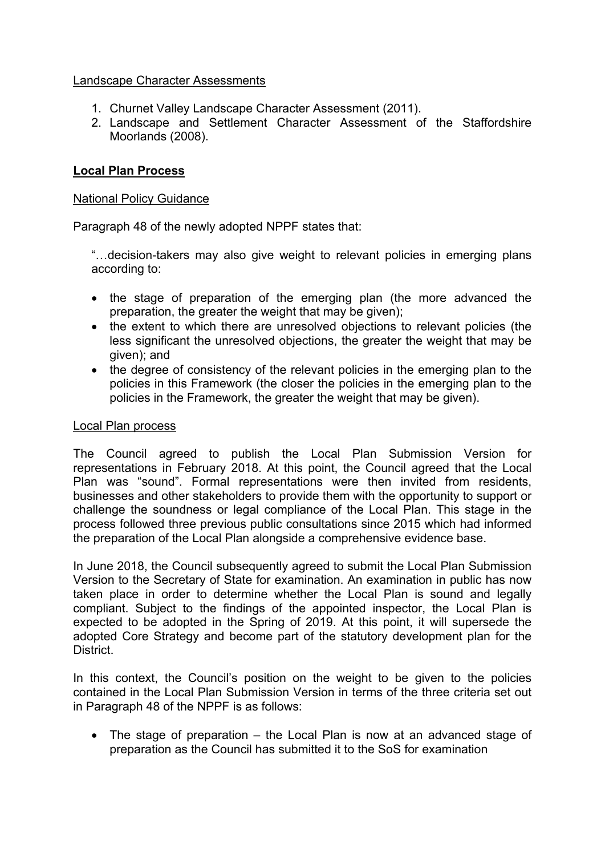# Landscape Character Assessments

- 1. Churnet Valley Landscape Character Assessment (2011).
- 2. Landscape and Settlement Character Assessment of the Staffordshire Moorlands (2008).

# **Local Plan Process**

# National Policy Guidance

Paragraph 48 of the newly adopted NPPF states that:

"…decision-takers may also give weight to relevant policies in emerging plans according to:

- the stage of preparation of the emerging plan (the more advanced the preparation, the greater the weight that may be given);
- the extent to which there are unresolved objections to relevant policies (the less significant the unresolved objections, the greater the weight that may be given); and
- the degree of consistency of the relevant policies in the emerging plan to the policies in this Framework (the closer the policies in the emerging plan to the policies in the Framework, the greater the weight that may be given).

## Local Plan process

The Council agreed to publish the Local Plan Submission Version for representations in February 2018. At this point, the Council agreed that the Local Plan was "sound". Formal representations were then invited from residents, businesses and other stakeholders to provide them with the opportunity to support or challenge the soundness or legal compliance of the Local Plan. This stage in the process followed three previous public consultations since 2015 which had informed the preparation of the Local Plan alongside a comprehensive evidence base.

In June 2018, the Council subsequently agreed to submit the Local Plan Submission Version to the Secretary of State for examination. An examination in public has now taken place in order to determine whether the Local Plan is sound and legally compliant. Subject to the findings of the appointed inspector, the Local Plan is expected to be adopted in the Spring of 2019. At this point, it will supersede the adopted Core Strategy and become part of the statutory development plan for the District.

In this context, the Council's position on the weight to be given to the policies contained in the Local Plan Submission Version in terms of the three criteria set out in Paragraph 48 of the NPPF is as follows:

• The stage of preparation – the Local Plan is now at an advanced stage of preparation as the Council has submitted it to the SoS for examination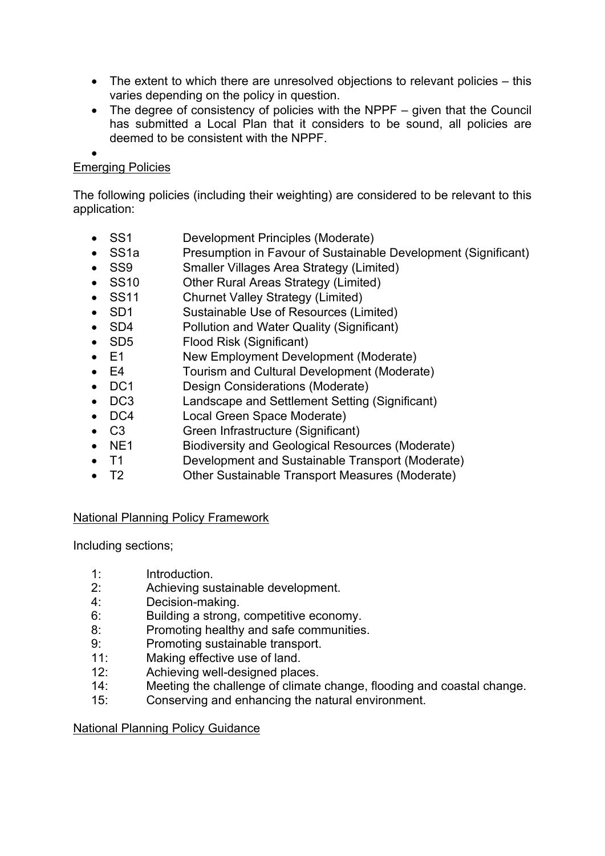- The extent to which there are unresolved objections to relevant policies this varies depending on the policy in question.
- The degree of consistency of policies with the NPPF given that the Council has submitted a Local Plan that it considers to be sound, all policies are deemed to be consistent with the NPPF.

#### $\bullet$ Emerging Policies

The following policies (including their weighting) are considered to be relevant to this application:

- SS1 Development Principles (Moderate)
- SS1a Presumption in Favour of Sustainable Development (Significant)
- SS9 Smaller Villages Area Strategy (Limited)
- SS10 Other Rural Areas Strategy (Limited)
- SS11 Churnet Valley Strategy (Limited)
- SD1 Sustainable Use of Resources (Limited)
- SD4 Pollution and Water Quality (Significant)
- SD5 Flood Risk (Significant)
- E1 New Employment Development (Moderate)
- E4 Tourism and Cultural Development (Moderate)
- DC1 Design Considerations (Moderate)
- DC3 Landscape and Settlement Setting (Significant)
- DC4 Local Green Space Moderate)
- C3 Green Infrastructure (Significant)
- NE1 Biodiversity and Geological Resources (Moderate)
- T1 Development and Sustainable Transport (Moderate)
- T2 Other Sustainable Transport Measures (Moderate)

# National Planning Policy Framework

Including sections;

- 1: Introduction.
- 2: Achieving sustainable development.
- 4: Decision-making.
- 6: Building a strong, competitive economy.
- 8: Promoting healthy and safe communities.
- 9: Promoting sustainable transport.
- 11: Making effective use of land.
- 12: Achieving well-designed places.
- 14: Meeting the challenge of climate change, flooding and coastal change.
- 15: Conserving and enhancing the natural environment.

## National Planning Policy Guidance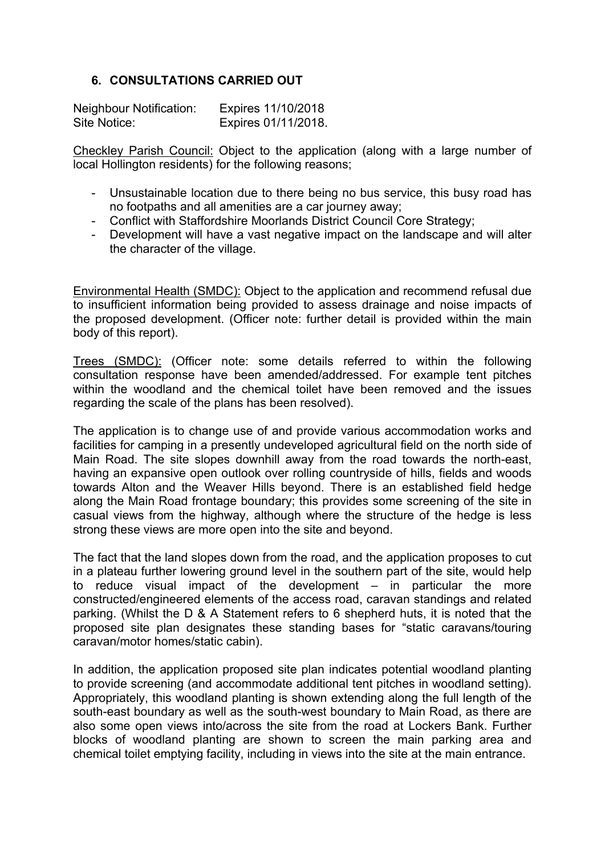# **6. CONSULTATIONS CARRIED OUT**

| <b>Neighbour Notification:</b> | Expires 11/10/2018  |
|--------------------------------|---------------------|
| Site Notice:                   | Expires 01/11/2018. |

Checkley Parish Council: Object to the application (along with a large number of local Hollington residents) for the following reasons;

- Unsustainable location due to there being no bus service, this busy road has no footpaths and all amenities are a car journey away;
- Conflict with Staffordshire Moorlands District Council Core Strategy;
- Development will have a vast negative impact on the landscape and will alter the character of the village.

Environmental Health (SMDC): Object to the application and recommend refusal due to insufficient information being provided to assess drainage and noise impacts of the proposed development. (Officer note: further detail is provided within the main body of this report).

Trees (SMDC): (Officer note: some details referred to within the following consultation response have been amended/addressed. For example tent pitches within the woodland and the chemical toilet have been removed and the issues regarding the scale of the plans has been resolved).

The application is to change use of and provide various accommodation works and facilities for camping in a presently undeveloped agricultural field on the north side of Main Road. The site slopes downhill away from the road towards the north-east, having an expansive open outlook over rolling countryside of hills, fields and woods towards Alton and the Weaver Hills beyond. There is an established field hedge along the Main Road frontage boundary; this provides some screening of the site in casual views from the highway, although where the structure of the hedge is less strong these views are more open into the site and beyond.

The fact that the land slopes down from the road, and the application proposes to cut in a plateau further lowering ground level in the southern part of the site, would help to reduce visual impact of the development – in particular the more constructed/engineered elements of the access road, caravan standings and related parking. (Whilst the D & A Statement refers to 6 shepherd huts, it is noted that the proposed site plan designates these standing bases for "static caravans/touring caravan/motor homes/static cabin).

In addition, the application proposed site plan indicates potential woodland planting to provide screening (and accommodate additional tent pitches in woodland setting). Appropriately, this woodland planting is shown extending along the full length of the south-east boundary as well as the south-west boundary to Main Road, as there are also some open views into/across the site from the road at Lockers Bank. Further blocks of woodland planting are shown to screen the main parking area and chemical toilet emptying facility, including in views into the site at the main entrance.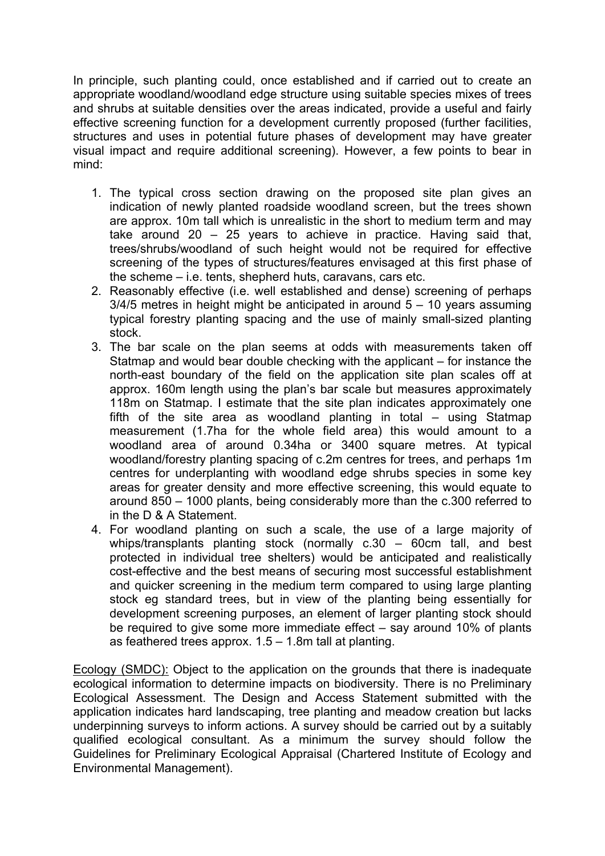In principle, such planting could, once established and if carried out to create an appropriate woodland/woodland edge structure using suitable species mixes of trees and shrubs at suitable densities over the areas indicated, provide a useful and fairly effective screening function for a development currently proposed (further facilities, structures and uses in potential future phases of development may have greater visual impact and require additional screening). However, a few points to bear in mind:

- 1. The typical cross section drawing on the proposed site plan gives an indication of newly planted roadside woodland screen, but the trees shown are approx. 10m tall which is unrealistic in the short to medium term and may take around 20 – 25 years to achieve in practice. Having said that, trees/shrubs/woodland of such height would not be required for effective screening of the types of structures/features envisaged at this first phase of the scheme – i.e. tents, shepherd huts, caravans, cars etc.
- 2. Reasonably effective (i.e. well established and dense) screening of perhaps  $3/4/5$  metres in height might be anticipated in around  $5 - 10$  years assuming typical forestry planting spacing and the use of mainly small-sized planting stock.
- 3. The bar scale on the plan seems at odds with measurements taken off Statmap and would bear double checking with the applicant – for instance the north-east boundary of the field on the application site plan scales off at approx. 160m length using the plan's bar scale but measures approximately 118m on Statmap. I estimate that the site plan indicates approximately one fifth of the site area as woodland planting in total – using Statmap measurement (1.7ha for the whole field area) this would amount to a woodland area of around 0.34ha or 3400 square metres. At typical woodland/forestry planting spacing of c.2m centres for trees, and perhaps 1m centres for underplanting with woodland edge shrubs species in some key areas for greater density and more effective screening, this would equate to around 850 – 1000 plants, being considerably more than the c.300 referred to in the D & A Statement.
- 4. For woodland planting on such a scale, the use of a large majority of whips/transplants planting stock (normally c.30 – 60cm tall, and best protected in individual tree shelters) would be anticipated and realistically cost-effective and the best means of securing most successful establishment and quicker screening in the medium term compared to using large planting stock eg standard trees, but in view of the planting being essentially for development screening purposes, an element of larger planting stock should be required to give some more immediate effect – say around 10% of plants as feathered trees approx. 1.5 – 1.8m tall at planting.

Ecology (SMDC): Object to the application on the grounds that there is inadequate ecological information to determine impacts on biodiversity. There is no Preliminary Ecological Assessment. The Design and Access Statement submitted with the application indicates hard landscaping, tree planting and meadow creation but lacks underpinning surveys to inform actions. A survey should be carried out by a suitably qualified ecological consultant. As a minimum the survey should follow the Guidelines for Preliminary Ecological Appraisal (Chartered Institute of Ecology and Environmental Management).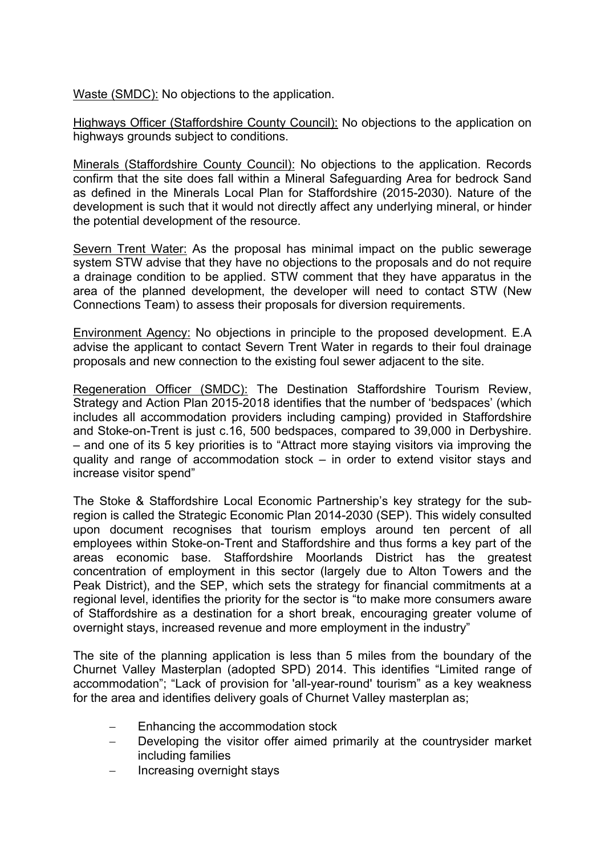Waste (SMDC): No objections to the application.

Highways Officer (Staffordshire County Council): No objections to the application on highways grounds subject to conditions.

Minerals (Staffordshire County Council): No objections to the application. Records confirm that the site does fall within a Mineral Safeguarding Area for bedrock Sand as defined in the Minerals Local Plan for Staffordshire (2015-2030). Nature of the development is such that it would not directly affect any underlying mineral, or hinder the potential development of the resource.

Severn Trent Water: As the proposal has minimal impact on the public sewerage system STW advise that they have no objections to the proposals and do not require a drainage condition to be applied. STW comment that they have apparatus in the area of the planned development, the developer will need to contact STW (New Connections Team) to assess their proposals for diversion requirements.

Environment Agency: No objections in principle to the proposed development. E.A advise the applicant to contact Severn Trent Water in regards to their foul drainage proposals and new connection to the existing foul sewer adjacent to the site.

Regeneration Officer (SMDC): The Destination Staffordshire Tourism Review, Strategy and Action Plan 2015-2018 identifies that the number of 'bedspaces' (which includes all accommodation providers including camping) provided in Staffordshire and Stoke-on-Trent is just c.16, 500 bedspaces, compared to 39,000 in Derbyshire. – and one of its 5 key priorities is to "Attract more staying visitors via improving the quality and range of accommodation stock – in order to extend visitor stays and increase visitor spend"

The Stoke & Staffordshire Local Economic Partnership's key strategy for the subregion is called the Strategic Economic Plan 2014-2030 (SEP). This widely consulted upon document recognises that tourism employs around ten percent of all employees within Stoke-on-Trent and Staffordshire and thus forms a key part of the areas economic base. Staffordshire Moorlands District has the greatest concentration of employment in this sector (largely due to Alton Towers and the Peak District), and the SEP, which sets the strategy for financial commitments at a regional level, identifies the priority for the sector is "to make more consumers aware of Staffordshire as a destination for a short break, encouraging greater volume of overnight stays, increased revenue and more employment in the industry"

The site of the planning application is less than 5 miles from the boundary of the Churnet Valley Masterplan (adopted SPD) 2014. This identifies "Limited range of accommodation"; "Lack of provision for 'all-year-round' tourism" as a key weakness for the area and identifies delivery goals of Churnet Valley masterplan as;

- Enhancing the accommodation stock
- Developing the visitor offer aimed primarily at the countrysider market including families
- Increasing overnight stays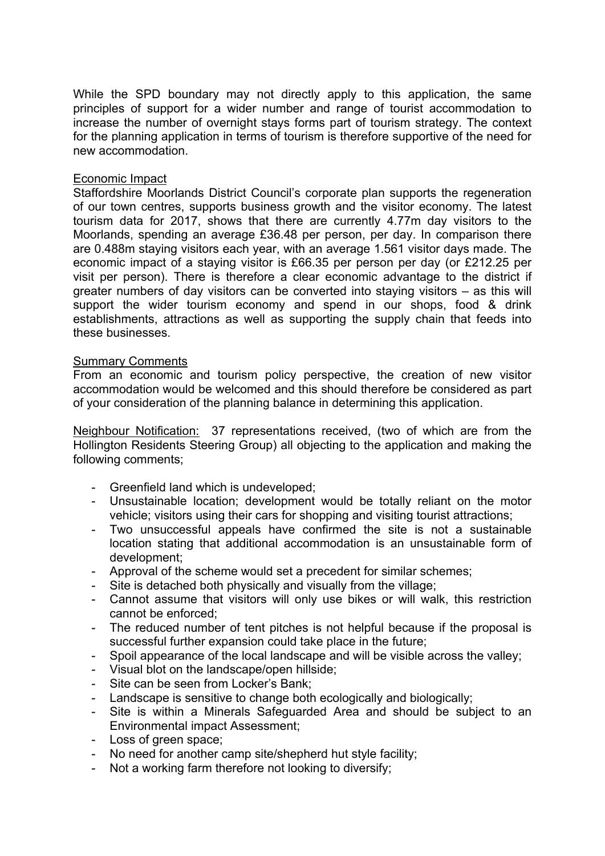While the SPD boundary may not directly apply to this application, the same principles of support for a wider number and range of tourist accommodation to increase the number of overnight stays forms part of tourism strategy. The context for the planning application in terms of tourism is therefore supportive of the need for new accommodation.

### Economic Impact

Staffordshire Moorlands District Council's corporate plan supports the regeneration of our town centres, supports business growth and the visitor economy. The latest tourism data for 2017, shows that there are currently 4.77m day visitors to the Moorlands, spending an average £36.48 per person, per day. In comparison there are 0.488m staying visitors each year, with an average 1.561 visitor days made. The economic impact of a staying visitor is £66.35 per person per day (or £212.25 per visit per person). There is therefore a clear economic advantage to the district if greater numbers of day visitors can be converted into staying visitors – as this will support the wider tourism economy and spend in our shops, food & drink establishments, attractions as well as supporting the supply chain that feeds into these businesses.

### Summary Comments

From an economic and tourism policy perspective, the creation of new visitor accommodation would be welcomed and this should therefore be considered as part of your consideration of the planning balance in determining this application.

Neighbour Notification: 37 representations received, (two of which are from the Hollington Residents Steering Group) all objecting to the application and making the following comments;

- Greenfield land which is undeveloped;
- Unsustainable location; development would be totally reliant on the motor vehicle; visitors using their cars for shopping and visiting tourist attractions;
- Two unsuccessful appeals have confirmed the site is not a sustainable location stating that additional accommodation is an unsustainable form of development;
- Approval of the scheme would set a precedent for similar schemes;
- Site is detached both physically and visually from the village;
- Cannot assume that visitors will only use bikes or will walk, this restriction cannot be enforced;
- The reduced number of tent pitches is not helpful because if the proposal is successful further expansion could take place in the future;
- Spoil appearance of the local landscape and will be visible across the valley;
- Visual blot on the landscape/open hillside;
- Site can be seen from Locker's Bank;
- Landscape is sensitive to change both ecologically and biologically;
- Site is within a Minerals Safeguarded Area and should be subject to an Environmental impact Assessment;
- Loss of green space;
- No need for another camp site/shepherd hut style facility;
- Not a working farm therefore not looking to diversify;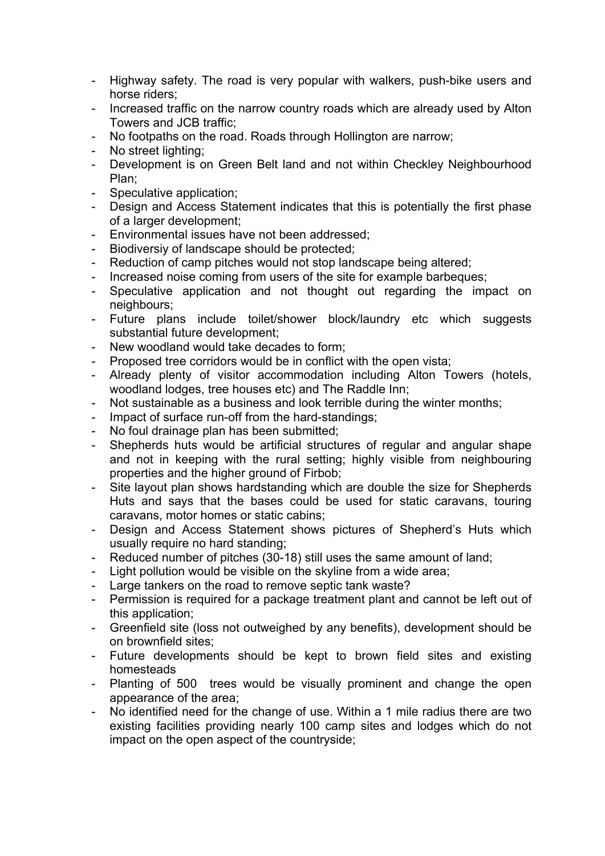- Highway safety. The road is very popular with walkers, push-bike users and horse riders;
- Increased traffic on the narrow country roads which are already used by Alton Towers and JCB traffic;
- No footpaths on the road. Roads through Hollington are narrow;
- No street lighting;
- Development is on Green Belt land and not within Checkley Neighbourhood Plan;
- Speculative application;
- Design and Access Statement indicates that this is potentially the first phase of a larger development;
- Environmental issues have not been addressed;
- Biodiversiy of landscape should be protected;
- Reduction of camp pitches would not stop landscape being altered;
- Increased noise coming from users of the site for example barbeques;
- Speculative application and not thought out regarding the impact on neighbours;
- Future plans include toilet/shower block/laundry etc which suggests substantial future development;
- New woodland would take decades to form:
- Proposed tree corridors would be in conflict with the open vista;
- Already plenty of visitor accommodation including Alton Towers (hotels, woodland lodges, tree houses etc) and The Raddle Inn;
- Not sustainable as a business and look terrible during the winter months;
- Impact of surface run-off from the hard-standings;
- No foul drainage plan has been submitted;
- Shepherds huts would be artificial structures of regular and angular shape and not in keeping with the rural setting; highly visible from neighbouring properties and the higher ground of Firbob;
- Site layout plan shows hardstanding which are double the size for Shepherds Huts and says that the bases could be used for static caravans, touring caravans, motor homes or static cabins;
- Design and Access Statement shows pictures of Shepherd's Huts which usually require no hard standing;
- Reduced number of pitches (30-18) still uses the same amount of land;
- Light pollution would be visible on the skyline from a wide area;
- Large tankers on the road to remove septic tank waste?
- Permission is required for a package treatment plant and cannot be left out of this application;
- Greenfield site (loss not outweighed by any benefits), development should be on brownfield sites;
- Future developments should be kept to brown field sites and existing homesteads
- Planting of 500 trees would be visually prominent and change the open appearance of the area;
- No identified need for the change of use. Within a 1 mile radius there are two existing facilities providing nearly 100 camp sites and lodges which do not impact on the open aspect of the countryside;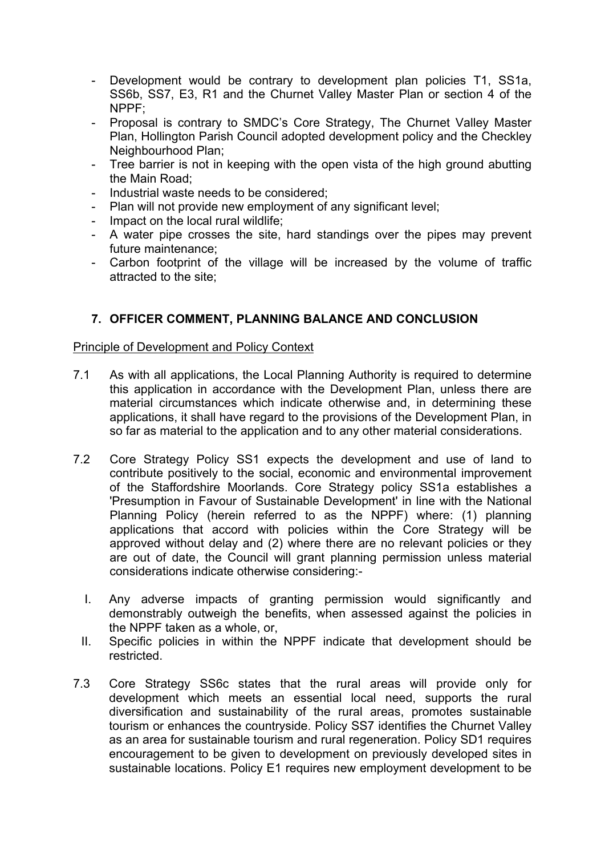- Development would be contrary to development plan policies T1, SS1a, SS6b, SS7, E3, R1 and the Churnet Valley Master Plan or section 4 of the  $N$ PPF $\cdot$
- Proposal is contrary to SMDC's Core Strategy, The Churnet Valley Master Plan, Hollington Parish Council adopted development policy and the Checkley Neighbourhood Plan;
- Tree barrier is not in keeping with the open vista of the high ground abutting the Main Road;
- Industrial waste needs to be considered;
- Plan will not provide new employment of any significant level;
- Impact on the local rural wildlife;
- A water pipe crosses the site, hard standings over the pipes may prevent future maintenance;
- Carbon footprint of the village will be increased by the volume of traffic attracted to the site;

# **7. OFFICER COMMENT, PLANNING BALANCE AND CONCLUSION**

## Principle of Development and Policy Context

- 7.1 As with all applications, the Local Planning Authority is required to determine this application in accordance with the Development Plan, unless there are material circumstances which indicate otherwise and, in determining these applications, it shall have regard to the provisions of the Development Plan, in so far as material to the application and to any other material considerations.
- 7.2 Core Strategy Policy SS1 expects the development and use of land to contribute positively to the social, economic and environmental improvement of the Staffordshire Moorlands. Core Strategy policy SS1a establishes a 'Presumption in Favour of Sustainable Development' in line with the National Planning Policy (herein referred to as the NPPF) where: (1) planning applications that accord with policies within the Core Strategy will be approved without delay and (2) where there are no relevant policies or they are out of date, the Council will grant planning permission unless material considerations indicate otherwise considering:-
	- I. Any adverse impacts of granting permission would significantly and demonstrably outweigh the benefits, when assessed against the policies in the NPPF taken as a whole, or,
	- II. Specific policies in within the NPPF indicate that development should be restricted.
- 7.3 Core Strategy SS6c states that the rural areas will provide only for development which meets an essential local need, supports the rural diversification and sustainability of the rural areas, promotes sustainable tourism or enhances the countryside. Policy SS7 identifies the Churnet Valley as an area for sustainable tourism and rural regeneration. Policy SD1 requires encouragement to be given to development on previously developed sites in sustainable locations. Policy E1 requires new employment development to be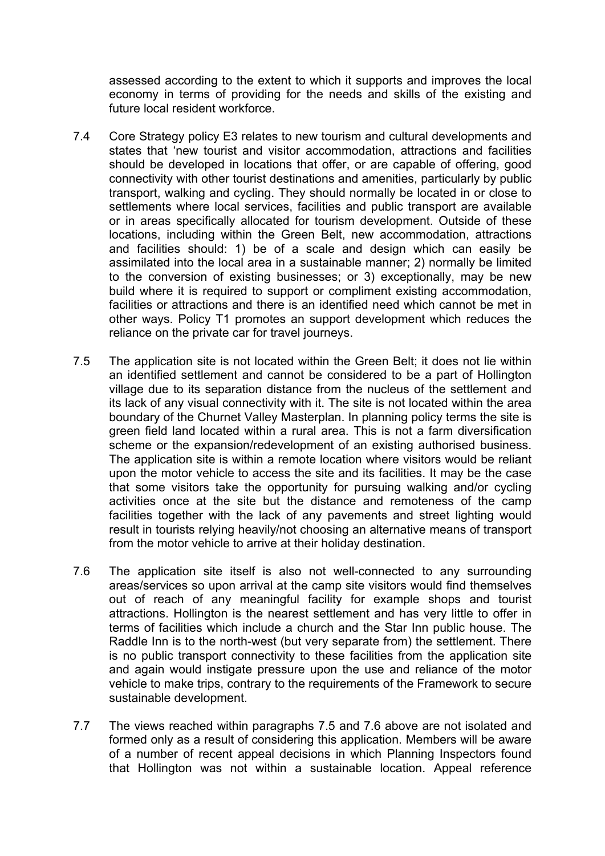assessed according to the extent to which it supports and improves the local economy in terms of providing for the needs and skills of the existing and future local resident workforce.

- 7.4 Core Strategy policy E3 relates to new tourism and cultural developments and states that 'new tourist and visitor accommodation, attractions and facilities should be developed in locations that offer, or are capable of offering, good connectivity with other tourist destinations and amenities, particularly by public transport, walking and cycling. They should normally be located in or close to settlements where local services, facilities and public transport are available or in areas specifically allocated for tourism development. Outside of these locations, including within the Green Belt, new accommodation, attractions and facilities should: 1) be of a scale and design which can easily be assimilated into the local area in a sustainable manner; 2) normally be limited to the conversion of existing businesses; or 3) exceptionally, may be new build where it is required to support or compliment existing accommodation, facilities or attractions and there is an identified need which cannot be met in other ways. Policy T1 promotes an support development which reduces the reliance on the private car for travel journeys.
- 7.5 The application site is not located within the Green Belt; it does not lie within an identified settlement and cannot be considered to be a part of Hollington village due to its separation distance from the nucleus of the settlement and its lack of any visual connectivity with it. The site is not located within the area boundary of the Churnet Valley Masterplan. In planning policy terms the site is green field land located within a rural area. This is not a farm diversification scheme or the expansion/redevelopment of an existing authorised business. The application site is within a remote location where visitors would be reliant upon the motor vehicle to access the site and its facilities. It may be the case that some visitors take the opportunity for pursuing walking and/or cycling activities once at the site but the distance and remoteness of the camp facilities together with the lack of any pavements and street lighting would result in tourists relying heavily/not choosing an alternative means of transport from the motor vehicle to arrive at their holiday destination.
- 7.6 The application site itself is also not well-connected to any surrounding areas/services so upon arrival at the camp site visitors would find themselves out of reach of any meaningful facility for example shops and tourist attractions. Hollington is the nearest settlement and has very little to offer in terms of facilities which include a church and the Star Inn public house. The Raddle Inn is to the north-west (but very separate from) the settlement. There is no public transport connectivity to these facilities from the application site and again would instigate pressure upon the use and reliance of the motor vehicle to make trips, contrary to the requirements of the Framework to secure sustainable development.
- 7.7 The views reached within paragraphs 7.5 and 7.6 above are not isolated and formed only as a result of considering this application. Members will be aware of a number of recent appeal decisions in which Planning Inspectors found that Hollington was not within a sustainable location. Appeal reference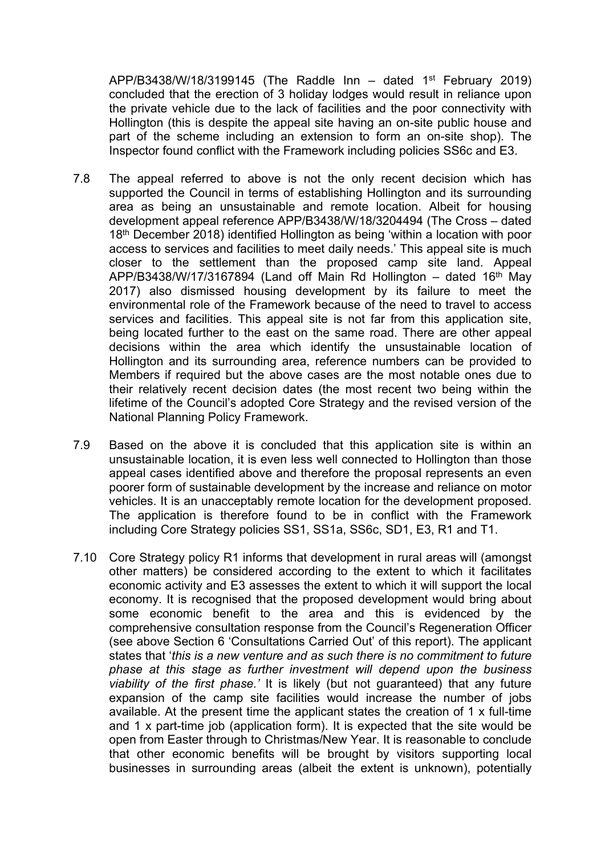APP/B3438/W/18/3199145 (The Raddle Inn – dated 1<sup>st</sup> February 2019) concluded that the erection of 3 holiday lodges would result in reliance upon the private vehicle due to the lack of facilities and the poor connectivity with Hollington (this is despite the appeal site having an on-site public house and part of the scheme including an extension to form an on-site shop). The Inspector found conflict with the Framework including policies SS6c and E3.

- 7.8 The appeal referred to above is not the only recent decision which has supported the Council in terms of establishing Hollington and its surrounding area as being an unsustainable and remote location. Albeit for housing development appeal reference APP/B3438/W/18/3204494 (The Cross – dated 18<sup>th</sup> December 2018) identified Hollington as being 'within a location with poor access to services and facilities to meet daily needs.' This appeal site is much closer to the settlement than the proposed camp site land. Appeal APP/B3438/W/17/3167894 (Land off Main Rd Hollington  $-$  dated 16<sup>th</sup> May 2017) also dismissed housing development by its failure to meet the environmental role of the Framework because of the need to travel to access services and facilities. This appeal site is not far from this application site, being located further to the east on the same road. There are other appeal decisions within the area which identify the unsustainable location of Hollington and its surrounding area, reference numbers can be provided to Members if required but the above cases are the most notable ones due to their relatively recent decision dates (the most recent two being within the lifetime of the Council's adopted Core Strategy and the revised version of the National Planning Policy Framework.
- 7.9 Based on the above it is concluded that this application site is within an unsustainable location, it is even less well connected to Hollington than those appeal cases identified above and therefore the proposal represents an even poorer form of sustainable development by the increase and reliance on motor vehicles. It is an unacceptably remote location for the development proposed. The application is therefore found to be in conflict with the Framework including Core Strategy policies SS1, SS1a, SS6c, SD1, E3, R1 and T1.
- 7.10 Core Strategy policy R1 informs that development in rural areas will (amongst other matters) be considered according to the extent to which it facilitates economic activity and E3 assesses the extent to which it will support the local economy. It is recognised that the proposed development would bring about some economic benefit to the area and this is evidenced by the comprehensive consultation response from the Council's Regeneration Officer (see above Section 6 'Consultations Carried Out' of this report). The applicant states that '*this is a new venture and as such there is no commitment to future phase at this stage as further investment will depend upon the business viability of the first phase.'* It is likely (but not guaranteed) that any future expansion of the camp site facilities would increase the number of jobs available. At the present time the applicant states the creation of 1 x full-time and 1 x part-time job (application form). It is expected that the site would be open from Easter through to Christmas/New Year. It is reasonable to conclude that other economic benefits will be brought by visitors supporting local businesses in surrounding areas (albeit the extent is unknown), potentially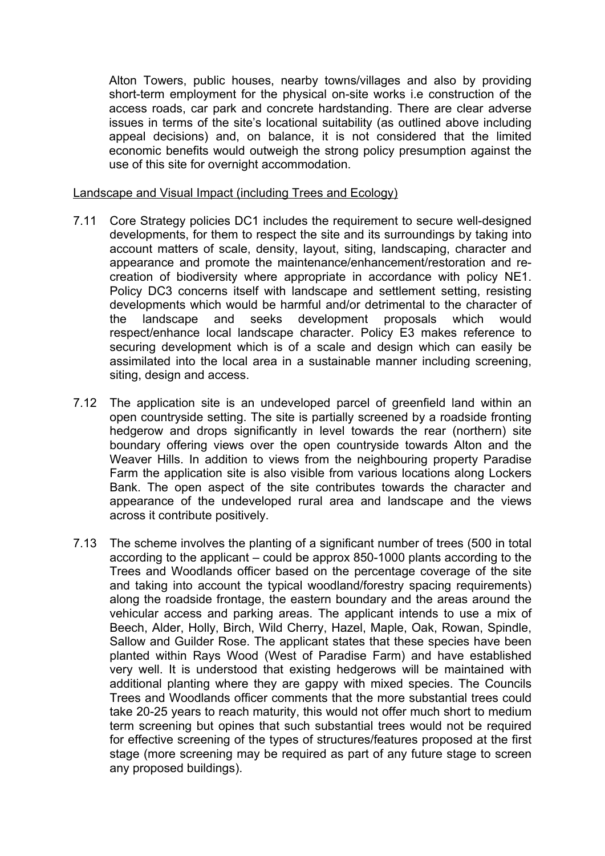Alton Towers, public houses, nearby towns/villages and also by providing short-term employment for the physical on-site works i.e construction of the access roads, car park and concrete hardstanding. There are clear adverse issues in terms of the site's locational suitability (as outlined above including appeal decisions) and, on balance, it is not considered that the limited economic benefits would outweigh the strong policy presumption against the use of this site for overnight accommodation.

### Landscape and Visual Impact (including Trees and Ecology)

- 7.11 Core Strategy policies DC1 includes the requirement to secure well-designed developments, for them to respect the site and its surroundings by taking into account matters of scale, density, layout, siting, landscaping, character and appearance and promote the maintenance/enhancement/restoration and recreation of biodiversity where appropriate in accordance with policy NE1. Policy DC3 concerns itself with landscape and settlement setting, resisting developments which would be harmful and/or detrimental to the character of the landscape and seeks development proposals which would respect/enhance local landscape character. Policy E3 makes reference to securing development which is of a scale and design which can easily be assimilated into the local area in a sustainable manner including screening, siting, design and access.
- 7.12 The application site is an undeveloped parcel of greenfield land within an open countryside setting. The site is partially screened by a roadside fronting hedgerow and drops significantly in level towards the rear (northern) site boundary offering views over the open countryside towards Alton and the Weaver Hills. In addition to views from the neighbouring property Paradise Farm the application site is also visible from various locations along Lockers Bank. The open aspect of the site contributes towards the character and appearance of the undeveloped rural area and landscape and the views across it contribute positively.
- 7.13 The scheme involves the planting of a significant number of trees (500 in total according to the applicant – could be approx 850-1000 plants according to the Trees and Woodlands officer based on the percentage coverage of the site and taking into account the typical woodland/forestry spacing requirements) along the roadside frontage, the eastern boundary and the areas around the vehicular access and parking areas. The applicant intends to use a mix of Beech, Alder, Holly, Birch, Wild Cherry, Hazel, Maple, Oak, Rowan, Spindle, Sallow and Guilder Rose. The applicant states that these species have been planted within Rays Wood (West of Paradise Farm) and have established very well. It is understood that existing hedgerows will be maintained with additional planting where they are gappy with mixed species. The Councils Trees and Woodlands officer comments that the more substantial trees could take 20-25 years to reach maturity, this would not offer much short to medium term screening but opines that such substantial trees would not be required for effective screening of the types of structures/features proposed at the first stage (more screening may be required as part of any future stage to screen any proposed buildings).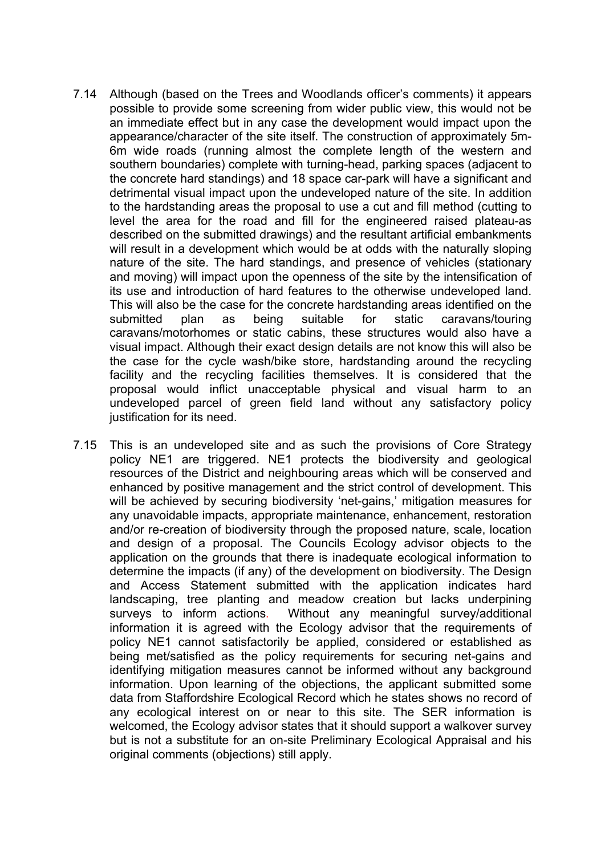- 7.14 Although (based on the Trees and Woodlands officer's comments) it appears possible to provide some screening from wider public view, this would not be an immediate effect but in any case the development would impact upon the appearance/character of the site itself. The construction of approximately 5m-6m wide roads (running almost the complete length of the western and southern boundaries) complete with turning-head, parking spaces (adjacent to the concrete hard standings) and 18 space car-park will have a significant and detrimental visual impact upon the undeveloped nature of the site. In addition to the hardstanding areas the proposal to use a cut and fill method (cutting to level the area for the road and fill for the engineered raised plateau-as described on the submitted drawings) and the resultant artificial embankments will result in a development which would be at odds with the naturally sloping nature of the site. The hard standings, and presence of vehicles (stationary and moving) will impact upon the openness of the site by the intensification of its use and introduction of hard features to the otherwise undeveloped land. This will also be the case for the concrete hardstanding areas identified on the submitted plan as being suitable for static caravans/touring caravans/motorhomes or static cabins, these structures would also have a visual impact. Although their exact design details are not know this will also be the case for the cycle wash/bike store, hardstanding around the recycling facility and the recycling facilities themselves. It is considered that the proposal would inflict unacceptable physical and visual harm to an undeveloped parcel of green field land without any satisfactory policy justification for its need.
- 7.15 This is an undeveloped site and as such the provisions of Core Strategy policy NE1 are triggered. NE1 protects the biodiversity and geological resources of the District and neighbouring areas which will be conserved and enhanced by positive management and the strict control of development. This will be achieved by securing biodiversity 'net-gains,' mitigation measures for any unavoidable impacts, appropriate maintenance, enhancement, restoration and/or re-creation of biodiversity through the proposed nature, scale, location and design of a proposal. The Councils Ecology advisor objects to the application on the grounds that there is inadequate ecological information to determine the impacts (if any) of the development on biodiversity. The Design and Access Statement submitted with the application indicates hard landscaping, tree planting and meadow creation but lacks underpining surveys to inform actions. Without any meaningful survey/additional information it is agreed with the Ecology advisor that the requirements of policy NE1 cannot satisfactorily be applied, considered or established as being met/satisfied as the policy requirements for securing net-gains and identifying mitigation measures cannot be informed without any background information. Upon learning of the objections, the applicant submitted some data from Staffordshire Ecological Record which he states shows no record of any ecological interest on or near to this site. The SER information is welcomed, the Ecology advisor states that it should support a walkover survey but is not a substitute for an on-site Preliminary Ecological Appraisal and his original comments (objections) still apply.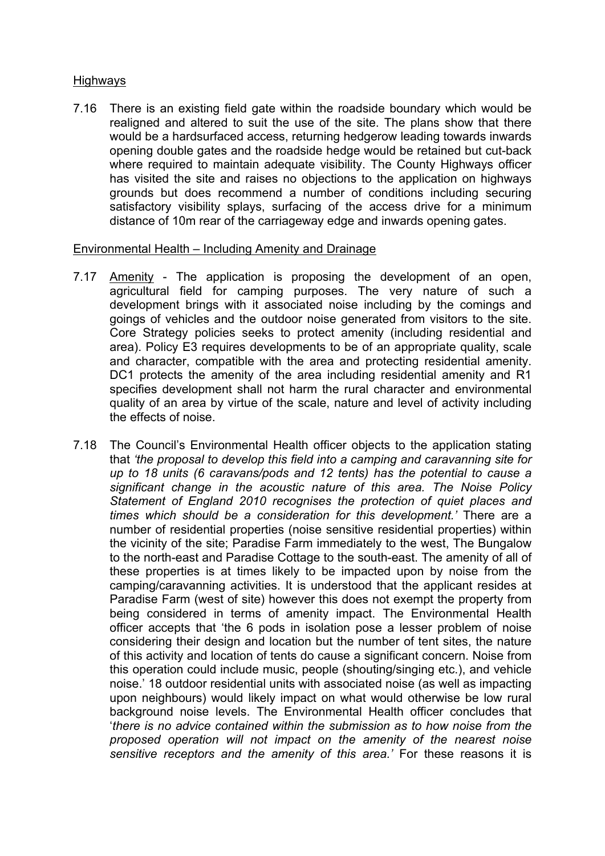# Highways

7.16 There is an existing field gate within the roadside boundary which would be realigned and altered to suit the use of the site. The plans show that there would be a hardsurfaced access, returning hedgerow leading towards inwards opening double gates and the roadside hedge would be retained but cut-back where required to maintain adequate visibility. The County Highways officer has visited the site and raises no objections to the application on highways grounds but does recommend a number of conditions including securing satisfactory visibility splays, surfacing of the access drive for a minimum distance of 10m rear of the carriageway edge and inwards opening gates.

## Environmental Health – Including Amenity and Drainage

- 7.17 Amenity The application is proposing the development of an open, agricultural field for camping purposes. The very nature of such a development brings with it associated noise including by the comings and goings of vehicles and the outdoor noise generated from visitors to the site. Core Strategy policies seeks to protect amenity (including residential and area). Policy E3 requires developments to be of an appropriate quality, scale and character, compatible with the area and protecting residential amenity. DC1 protects the amenity of the area including residential amenity and R1 specifies development shall not harm the rural character and environmental quality of an area by virtue of the scale, nature and level of activity including the effects of noise.
- 7.18 The Council's Environmental Health officer objects to the application stating that *'the proposal to develop this field into a camping and caravanning site for up to 18 units (6 caravans/pods and 12 tents) has the potential to cause a significant change in the acoustic nature of this area. The Noise Policy Statement of England 2010 recognises the protection of quiet places and times which should be a consideration for this development.'* There are a number of residential properties (noise sensitive residential properties) within the vicinity of the site; Paradise Farm immediately to the west, The Bungalow to the north-east and Paradise Cottage to the south-east. The amenity of all of these properties is at times likely to be impacted upon by noise from the camping/caravanning activities. It is understood that the applicant resides at Paradise Farm (west of site) however this does not exempt the property from being considered in terms of amenity impact. The Environmental Health officer accepts that 'the 6 pods in isolation pose a lesser problem of noise considering their design and location but the number of tent sites, the nature of this activity and location of tents do cause a significant concern. Noise from this operation could include music, people (shouting/singing etc.), and vehicle noise.' 18 outdoor residential units with associated noise (as well as impacting upon neighbours) would likely impact on what would otherwise be low rural background noise levels. The Environmental Health officer concludes that '*there is no advice contained within the submission as to how noise from the proposed operation will not impact on the amenity of the nearest noise sensitive receptors and the amenity of this area.'* For these reasons it is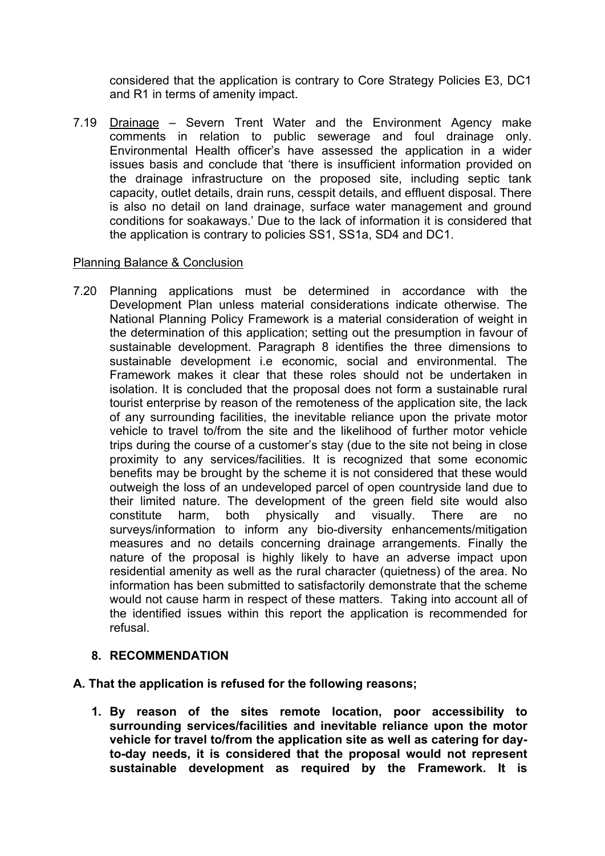considered that the application is contrary to Core Strategy Policies E3, DC1 and R1 in terms of amenity impact.

7.19 Drainage – Severn Trent Water and the Environment Agency make comments in relation to public sewerage and foul drainage only. Environmental Health officer's have assessed the application in a wider issues basis and conclude that 'there is insufficient information provided on the drainage infrastructure on the proposed site, including septic tank capacity, outlet details, drain runs, cesspit details, and effluent disposal. There is also no detail on land drainage, surface water management and ground conditions for soakaways.' Due to the lack of information it is considered that the application is contrary to policies SS1, SS1a, SD4 and DC1.

# Planning Balance & Conclusion

7.20 Planning applications must be determined in accordance with the Development Plan unless material considerations indicate otherwise. The National Planning Policy Framework is a material consideration of weight in the determination of this application; setting out the presumption in favour of sustainable development. Paragraph 8 identifies the three dimensions to sustainable development i.e economic, social and environmental. The Framework makes it clear that these roles should not be undertaken in isolation. It is concluded that the proposal does not form a sustainable rural tourist enterprise by reason of the remoteness of the application site, the lack of any surrounding facilities, the inevitable reliance upon the private motor vehicle to travel to/from the site and the likelihood of further motor vehicle trips during the course of a customer's stay (due to the site not being in close proximity to any services/facilities. It is recognized that some economic benefits may be brought by the scheme it is not considered that these would outweigh the loss of an undeveloped parcel of open countryside land due to their limited nature. The development of the green field site would also constitute harm, both physically and visually. There are no surveys/information to inform any bio-diversity enhancements/mitigation measures and no details concerning drainage arrangements. Finally the nature of the proposal is highly likely to have an adverse impact upon residential amenity as well as the rural character (quietness) of the area. No information has been submitted to satisfactorily demonstrate that the scheme would not cause harm in respect of these matters. Taking into account all of the identified issues within this report the application is recommended for refusal.

## **8. RECOMMENDATION**

## **A. That the application is refused for the following reasons;**

**1. By reason of the sites remote location, poor accessibility to surrounding services/facilities and inevitable reliance upon the motor vehicle for travel to/from the application site as well as catering for dayto-day needs, it is considered that the proposal would not represent sustainable development as required by the Framework. It is**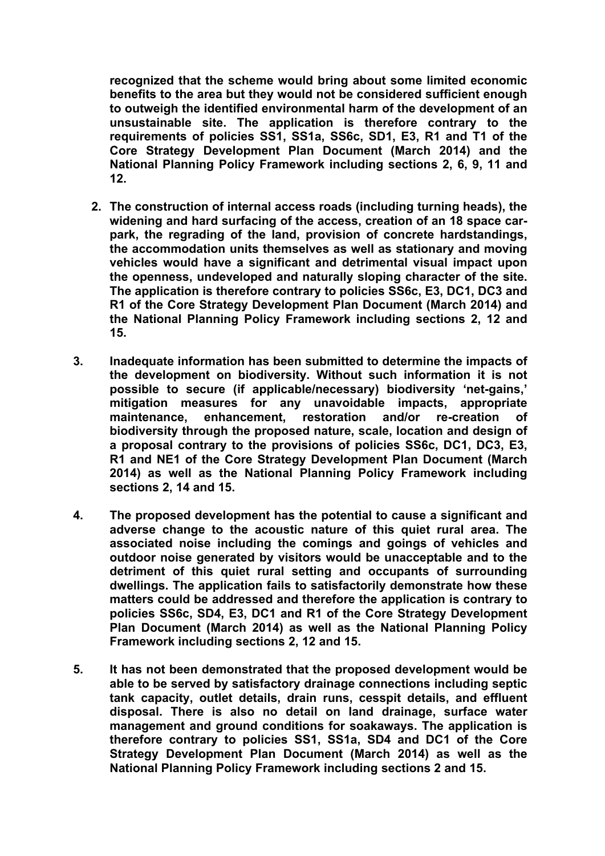**recognized that the scheme would bring about some limited economic benefits to the area but they would not be considered sufficient enough to outweigh the identified environmental harm of the development of an unsustainable site. The application is therefore contrary to the requirements of policies SS1, SS1a, SS6c, SD1, E3, R1 and T1 of the Core Strategy Development Plan Document (March 2014) and the National Planning Policy Framework including sections 2, 6, 9, 11 and 12.**

- **2. The construction of internal access roads (including turning heads), the widening and hard surfacing of the access, creation of an 18 space carpark, the regrading of the land, provision of concrete hardstandings, the accommodation units themselves as well as stationary and moving vehicles would have a significant and detrimental visual impact upon the openness, undeveloped and naturally sloping character of the site. The application is therefore contrary to policies SS6c, E3, DC1, DC3 and R1 of the Core Strategy Development Plan Document (March 2014) and the National Planning Policy Framework including sections 2, 12 and 15.**
- **3. Inadequate information has been submitted to determine the impacts of the development on biodiversity. Without such information it is not possible to secure (if applicable/necessary) biodiversity 'net-gains,' mitigation measures for any unavoidable impacts, appropriate maintenance, enhancement, restoration and/or re-creation of biodiversity through the proposed nature, scale, location and design of a proposal contrary to the provisions of policies SS6c, DC1, DC3, E3, R1 and NE1 of the Core Strategy Development Plan Document (March 2014) as well as the National Planning Policy Framework including sections 2, 14 and 15.**
- **4. The proposed development has the potential to cause a significant and adverse change to the acoustic nature of this quiet rural area. The associated noise including the comings and goings of vehicles and outdoor noise generated by visitors would be unacceptable and to the detriment of this quiet rural setting and occupants of surrounding dwellings. The application fails to satisfactorily demonstrate how these matters could be addressed and therefore the application is contrary to policies SS6c, SD4, E3, DC1 and R1 of the Core Strategy Development Plan Document (March 2014) as well as the National Planning Policy Framework including sections 2, 12 and 15.**
- **5. It has not been demonstrated that the proposed development would be able to be served by satisfactory drainage connections including septic tank capacity, outlet details, drain runs, cesspit details, and effluent disposal. There is also no detail on land drainage, surface water management and ground conditions for soakaways. The application is therefore contrary to policies SS1, SS1a, SD4 and DC1 of the Core Strategy Development Plan Document (March 2014) as well as the National Planning Policy Framework including sections 2 and 15.**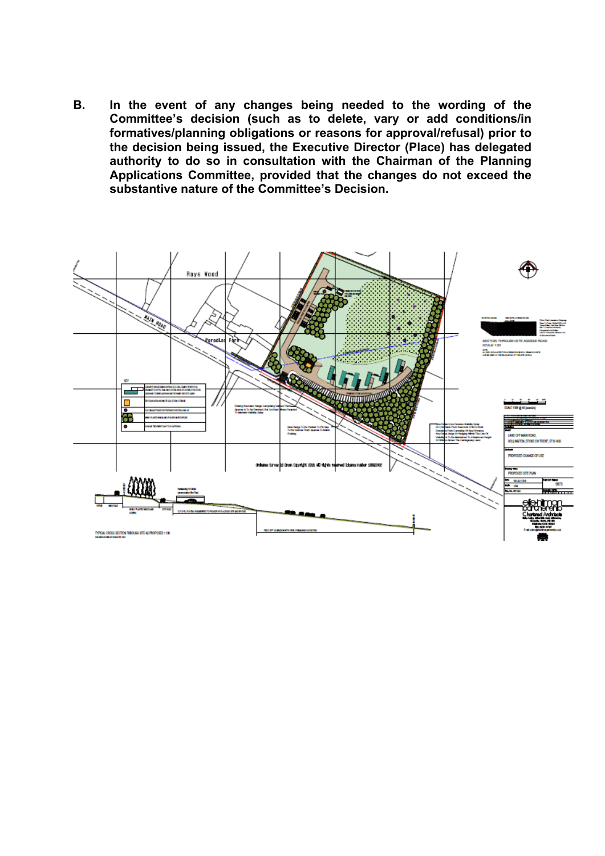**B. In the event of any changes being needed to the wording of the Committee's decision (such as to delete, vary or add conditions/in formatives/planning obligations or reasons for approval/refusal) prior to the decision being issued, the Executive Director (Place) has delegated authority to do so in consultation with the Chairman of the Planning Applications Committee, provided that the changes do not exceed the substantive nature of the Committee's Decision.**